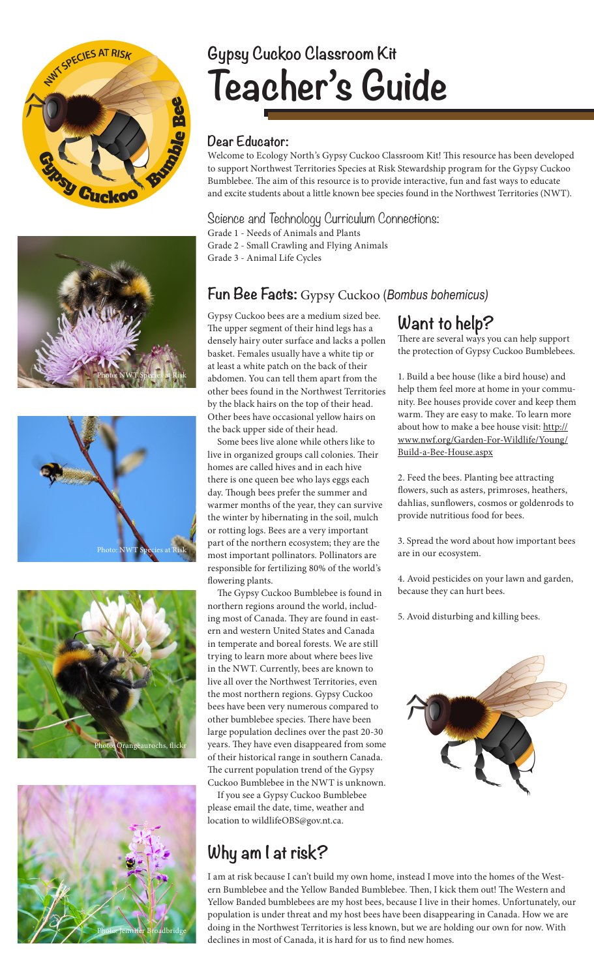









# **Gypsy Cuckoo Classroom Kit Teacher's Guide**

#### **Dear Educator:**

Welcome to Ecology North's Gypsy Cuckoo Classroom Kit! This resource has been developed to support Northwest Territories Species at Risk Stewardship program for the Gypsy Cuckoo Bumblebee. The aim of this resource is to provide interactive, fun and fast ways to educate and excite students about a little known bee species found in the Northwest Territories (NWT).

Science and Technology Curriculum Connections: Grade 1 - Needs of Animals and Plants

Grade 2 - Small Crawling and Flying Animals

Grade 3 - Animal Life Cycles

#### **Fun Bee Facts:** Gypsy Cuckoo (*Bombus bohemicus)*

Gypsy Cuckoo bees are a medium sized bee. The upper segment of their hind legs has a densely hairy outer surface and lacks a pollen basket. Females usually have a white tip or at least a white patch on the back of their abdomen. You can tell them apart from the other bees found in the Northwest Territories by the black hairs on the top of their head. Other bees have occasional yellow hairs on the back upper side of their head.

Some bees live alone while others like to live in organized groups call colonies. Their homes are called hives and in each hive there is one queen bee who lays eggs each day. Though bees prefer the summer and warmer months of the year, they can survive the winter by hibernating in the soil, mulch or rotting logs. Bees are a very important part of the northern ecosystem; they are the most important pollinators. Pollinators are responsible for fertilizing 80% of the world's flowering plants.

The Gypsy Cuckoo Bumblebee is found in northern regions around the world, including most of Canada. They are found in eastern and western United States and Canada in temperate and boreal forests. We are still trying to learn more about where bees live in the NWT. Currently, bees are known to live all over the Northwest Territories, even the most northern regions. Gypsy Cuckoo bees have been very numerous compared to other bumblebee species. There have been large population declines over the past 20-30 years. They have even disappeared from some of their historical range in southern Canada. The current population trend of the Gypsy Cuckoo Bumblebee in the NWT is unknown.

If you see a Gypsy Cuckoo Bumblebee please email the date, time, weather and location to wildlifeOBS@gov.nt.ca.

# **Why am I at risk?**

I am at risk because I can't build my own home, instead I move into the homes of the Western Bumblebee and the Yellow Banded Bumblebee. Then, I kick them out! The Western and Yellow Banded bumblebees are my host bees, because I live in their homes. Unfortunately, our population is under threat and my host bees have been disappearing in Canada. How we are doing in the Northwest Territories is less known, but we are holding our own for now. With declines in most of Canada, it is hard for us to find new homes.

## **Want to help?**

There are several ways you can help support the protection of Gypsy Cuckoo Bumblebees.

1. Build a bee house (like a bird house) and help them feel more at home in your community. Bee houses provide cover and keep them warm. They are easy to make. To learn more about how to make a bee house visit: http:// www.nwf.org/Garden-For-Wildlife/Young/ Build-a-Bee-House.aspx

2. Feed the bees. Planting bee attracting flowers, such as asters, primroses, heathers, dahlias, sunflowers, cosmos or goldenrods to provide nutritious food for bees.

3. Spread the word about how important bees are in our ecosystem.

4. Avoid pesticides on your lawn and garden, because they can hurt bees.

5. Avoid disturbing and killing bees.